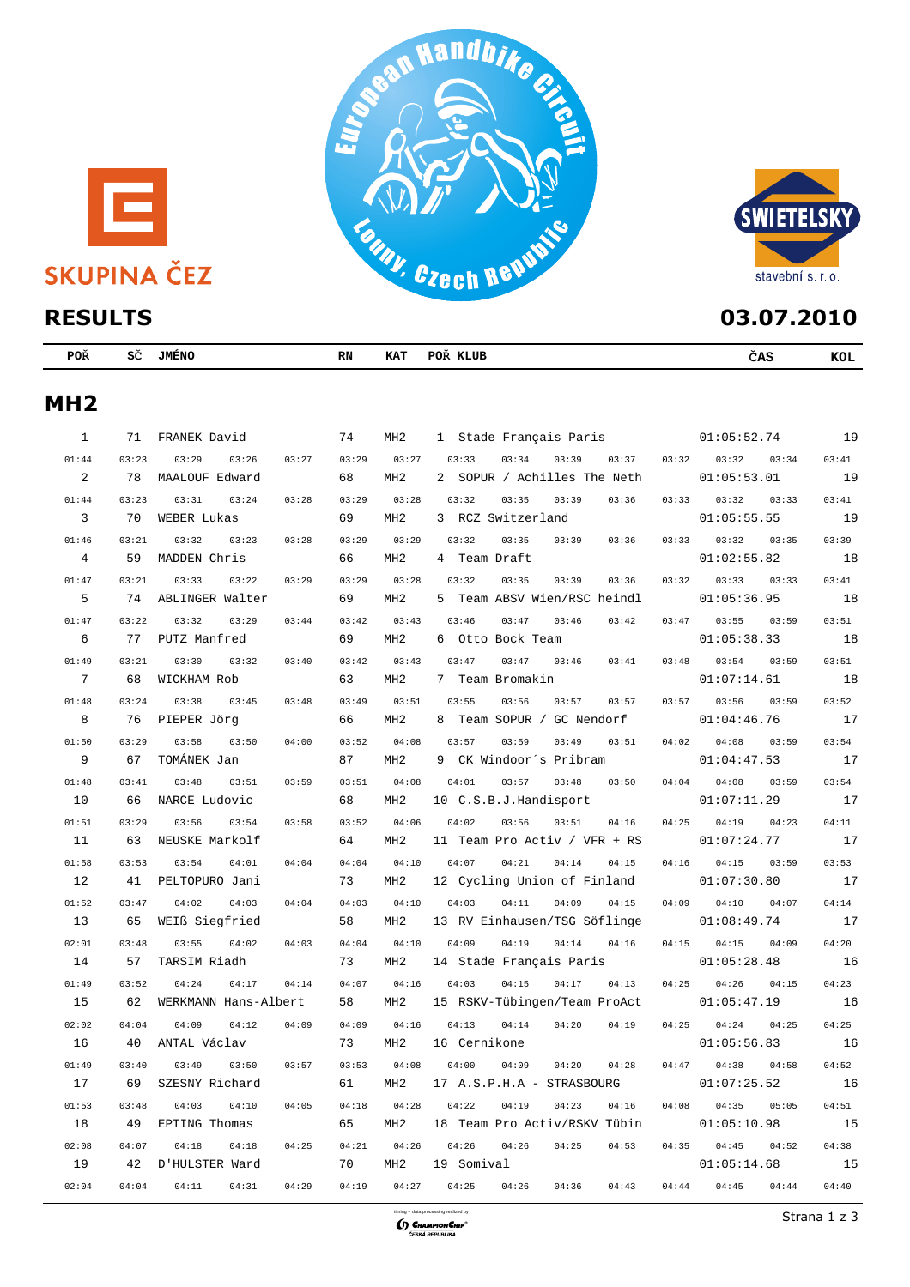





| <b>RESULTS</b>  |       | 03.07.2010              |       |                 |                                    |                         |            |
|-----------------|-------|-------------------------|-------|-----------------|------------------------------------|-------------------------|------------|
| <b>POR</b>      |       | SČ JMÉNO                | RN    | KAT             | POŘ KLUB                           | ČAS                     | <b>KOL</b> |
| MH <sub>2</sub> |       |                         |       |                 |                                    |                         |            |
| $\mathbf{1}$    | 71    | FRANEK David            | 74    | MH2             | 1 Stade Français Paris 01:05:52.74 |                         | 19         |
| 01:44           | 03:23 | 03:29<br>03:26<br>03:27 | 03:29 | 03:27           | 03:33<br>03:34<br>03:37<br>03:39   | 03:32<br>03:32<br>03:34 | 03:41      |
| 2               | 78    | MAALOUF Edward          | 68    | MH <sub>2</sub> | 2 SOPUR / Achilles The Neth        | 01:05:53.01             | 19         |
| 01:44           | 03:23 | 03:31<br>03:24<br>03:28 | 03:29 | 03:28           | 03:32<br>03:35<br>03:39<br>03:36   | 03:33<br>03:32<br>03:33 | 03:41      |
| 3               | 70    | WEBER Lukas             | 69    | MH <sub>2</sub> | 3 RCZ Switzerland                  | 01:05:55.55             | 19         |
| 01:46           | 03:21 | 03:32<br>03:23<br>03:28 | 03:29 | 03:29           | 03:32<br>03:35<br>03:39<br>03:36   | 03:32<br>03:35<br>03:33 | 03:39      |
| 4               | 59    | MADDEN Chris            | 66    | MH <sub>2</sub> | 4 Team Draft                       | 01:02:55.82             | 18         |
| 01:47           | 03:21 | 03:33<br>03:22<br>03:29 | 03:29 | 03:28           | 03:32<br>03:35<br>03:39<br>03:36   | 03:32<br>03:33<br>03:33 | 03:41      |
| 5               | 74    | ABLINGER Walter         | 69    | MH <sub>2</sub> | 5 Team ABSV Wien/RSC heindl        | 01:05:36.95             | 18         |
| 01:47           | 03:22 | 03:32<br>03:29<br>03:44 | 03:42 | 03:43           | 03:46<br>03:47<br>03:42<br>03:46   | 03:47<br>03:55<br>03:59 | 03:51      |
| 6               | 77    | PUTZ Manfred            | 69    | MH <sub>2</sub> | 6 Otto Bock Team                   | 01:05:38.33             | 18         |
| 01:49           | 03:21 | 03:30<br>03:32<br>03:40 | 03:42 | 03:43           | 03:47<br>03:47<br>03:46<br>03:41   | 03:48<br>03:54<br>03:59 | 03:51      |
| 7               | 68    | WICKHAM Rob             | 63    | MH <sub>2</sub> | 7<br>Team Bromakin                 | 01:07:14.61             | 18         |
| 01:48           | 03:24 | 03:38<br>03:45<br>03:48 | 03:49 | 03:51           | 03:55<br>03:56<br>03:57<br>03:57   | 03:57<br>03:56<br>03:59 | 03:52      |
| 8               | 76    | PIEPER JÖrg             | 66    | MH <sub>2</sub> | Team SOPUR / GC Nendorf<br>8       | 01:04:46.76             | 17         |
| 01:50           | 03:29 | 03:58<br>04:00<br>03:50 | 03:52 | 04:08           | 03:57<br>03:59<br>03:51<br>03:49   | 04:02<br>04:08<br>03:59 | 03:54      |
| 9               | 67    | TOMÁNEK Jan             | 87    | MH <sub>2</sub> | 9<br>CK Windoor's Pribram          | 01:04:47.53             | 17         |
| 01:48           | 03:41 | 03:48<br>03:51<br>03:59 | 03:51 | 04:08           | 03:57<br>04:01<br>03:48<br>03:50   | 04:04<br>04:08<br>03:59 | 03:54      |
| 10              | 66    | NARCE Ludovic           | 68    | MH <sub>2</sub> | 10 C.S.B.J.Handisport              | 01:07:11.29             | 17         |
| 01:51           | 03:29 | 03:56<br>03:54<br>03:58 | 03:52 | 04:06           | 04:02<br>03:56<br>03:51<br>04:16   | 04:25<br>04:19<br>04:23 | 04:11      |
| 11              | 63    | NEUSKE Markolf          | 64    | MH <sub>2</sub> | 11 Team Pro Activ / VFR + RS       | 01:07:24.77             | 17         |
| 01:58           | 03:53 | 03:54<br>04:01<br>04:04 | 04:04 | 04:10           | 04:07<br>04:21<br>04:14<br>04:15   | 04:16<br>04:15<br>03:59 | 03:53      |
| 12              | 41    | PELTOPURO Jani          | 73    | MH <sub>2</sub> | 12 Cycling Union of Finland        | 01:07:30.80             | 17         |
| 01:52           | 03:47 | 04:02<br>04:03<br>04:04 | 04:03 | 04:10           | 04:03<br>04:11<br>04:09<br>04:15   | 04:10<br>04:07<br>04:09 | 04:14      |
| 13              | 65    | WEIß Siegfried          | 58    | MH <sub>2</sub> | 13 RV Einhausen/TSG Söflinge       | 01:08:49.74             | 17         |
| 02:01           | 03:48 | 03:55<br>04:02<br>04:03 | 04:04 | 04:10           | 04:09<br>04:19<br>04:14<br>04:16   | 04:15<br>04:15<br>04:09 | 04:20      |
| 14              | 57    | TARSIM Riadh            | 73    | MH <sub>2</sub> | 14 Stade Français Paris            | 01:05:28.48             | 16         |
| 01:49           | 03:52 | 04:14<br>04:24<br>04:17 | 04:07 | 04:16           | 04:03<br>04:15<br>04:17<br>04:13   | 04:25<br>04:26<br>04:15 | 04:23      |
| 15              | 62    | WERKMANN Hans-Albert    | 58    | MH2             | 15 RSKV-Tübingen/Team ProAct       | 01:05:47.19             | 16         |
| 02:02           | 04:04 | 04:09<br>04:12<br>04:09 | 04:09 | 04:16           | 04:13<br>04:14<br>04:20<br>04:19   | 04:25<br>04:24<br>04:25 | 04:25      |



16 40 ANTAL Václav 73 MH2 16 Cernikone 01:05:56.83 16 01:49 03:40 03:49 03:50 03:57 03:53 04:08 04:00 04:09 04:20 04:28 04:47 04:38 04:58 04:52 17 69 SZESNY Richard 61 MH2 17 A.S.P.H.A - STRASBOURG 01:07:25.52 16 01:53 03:48 04:03 04:10 04:05 04:18 04:28 04:22 04:19 04:23 04:16 04:08 04:35 05:05 04:51 18 49 EPTING Thomas 65 MH2 18 Team Pro Activ/RSKV Tübin 01:05:10.98 15 02:08 04:07 04:18 04:18 04:25 04:21 04:26 04:26 04:26 04:25 04:53 04:35 04:45 04:52 04:38 19 42 D'HULSTER Ward 70 MH2 19 Somival 01:05:14.68 15 02:04 04:04 04:11 04:31 04:29 04:19 04:27 04:25 04:26 04:36 04:43 04:44 04:45 04:44 04:40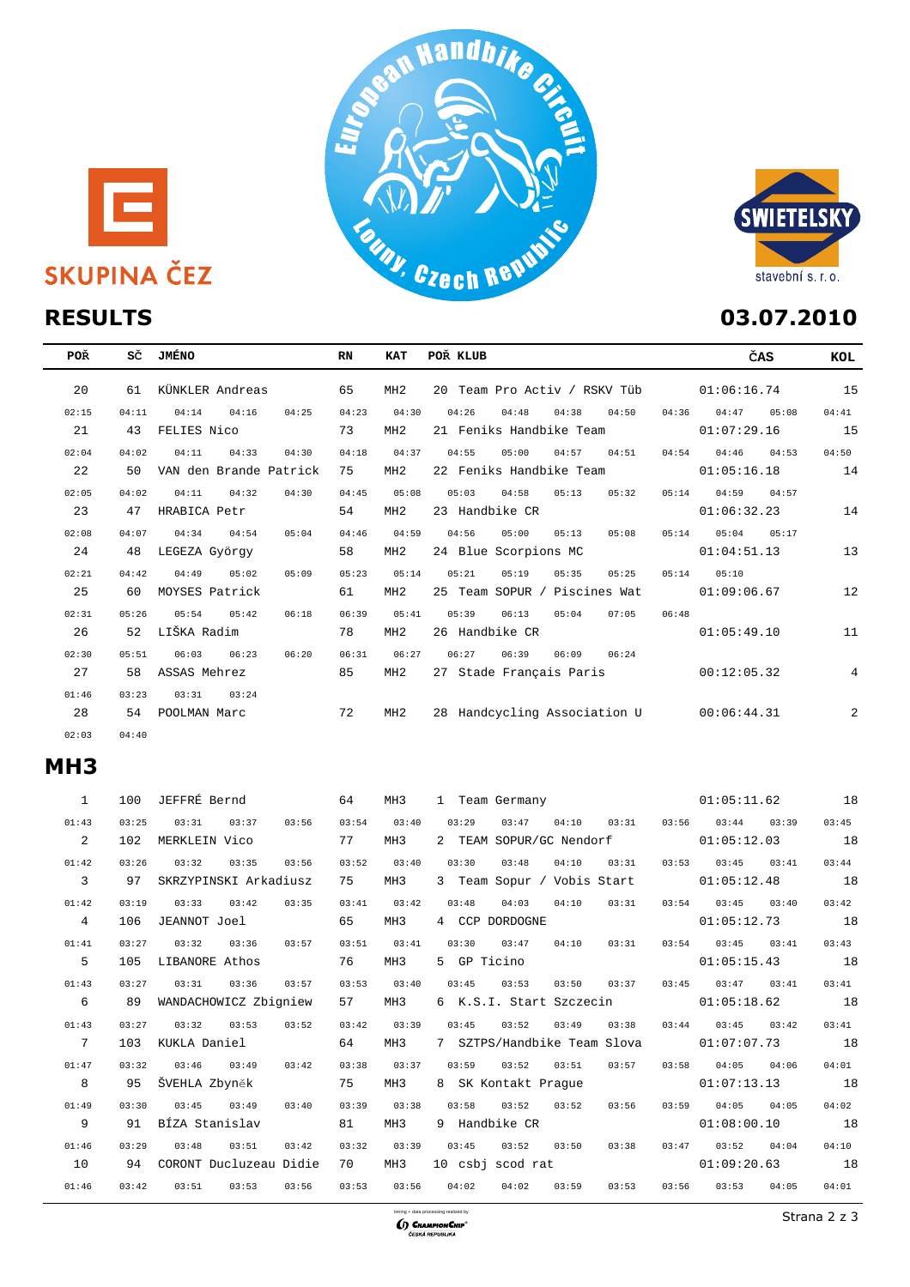





| POŘ   | sč    | JMÉNO                   | RN    | <b>KAT</b>      | POŘ KLUB                                  | ČAS            | KOL            |
|-------|-------|-------------------------|-------|-----------------|-------------------------------------------|----------------|----------------|
| 20    | 61    | KÜNKLER Andreas         | 65    | MH2             | 20 Team Pro Activ / RSKV Tüb              | 01:06:16.74    | 15             |
| 02:15 | 04:11 | 04:16<br>04:14<br>04:25 | 04:23 | 04:30           | 04:38<br>04:26<br>04:48<br>04:50<br>04:36 | 04:47<br>05:08 | 04:41          |
| 21    | 43    | FELIES Nico             | 73    | MH <sub>2</sub> | 21 Feniks Handbike Team                   | 01:07:29.16    | 15             |
| 02:04 | 04:02 | 04:11<br>04:33<br>04:30 | 04:18 | 04:37           | 04:55<br>05:00<br>04:57<br>04:54<br>04:51 | 04:46<br>04:53 | 04:50          |
| 22    | 50    | VAN den Brande Patrick  | 75    | MH2             | 22 Feniks Handbike Team                   | 01:05:16.18    | 14             |
| 02:05 | 04:02 | 04:32<br>04:11<br>04:30 | 04:45 | 05:08           | 05:03<br>04:58<br>05:14<br>05:13<br>05:32 | 04:59<br>04:57 |                |
| 23    | 47    | HRABICA Petr            | 54    | MH <sub>2</sub> | 23 Handbike CR                            | 01:06:32.23    | 14             |
| 02:08 | 04:07 | 04:54<br>05:04<br>04:34 | 04:46 | 04:59           | 04:56<br>05:00<br>05:13<br>05:08<br>05:14 | 05:17<br>05:04 |                |
| 24    | 48    | LEGEZA György           | 58    | MH <sub>2</sub> | 24 Blue Scorpions MC                      | 01:04:51.13    | 13             |
| 02:21 | 04:42 | 05:02<br>04:49<br>05:09 | 05:23 | 05:14           | 05:21<br>05:19<br>05:35<br>05:14<br>05:25 | 05:10          |                |
| 25    | 60    | MOYSES Patrick          | 61    | MH <sub>2</sub> | 25 Team SOPUR / Piscines Wat              | 01:09:06.67    | 12             |
| 02:31 | 05:26 | 05:54<br>05:42<br>06:18 | 06:39 | 05:41           | 06:48<br>05:39<br>06:13<br>05:04<br>07:05 |                |                |
| 26    | 52    | LIŠKA Radim             | 78    | MH <sub>2</sub> | 26 Handbike CR                            | 01:05:49.10    | 11             |
| 02:30 | 05:51 | 06:23<br>06:03<br>06:20 | 06:31 | 06:27           | 06:27<br>06:39<br>06:09<br>06:24          |                |                |
| 27    | 58    | ASSAS Mehrez            | 85    | MH2             | 27 Stade Français Paris                   | 00:12:05.32    | $\overline{4}$ |
| 01:46 | 03:23 | 03:31<br>03:24          |       |                 |                                           |                |                |
| 28    | 54    | POOLMAN Marc            | 72    | MH2             | 28 Handcycling Association U              | 00:06:44.31    | 2              |
| 02:03 | 04:40 |                         |       |                 |                                           |                |                |

## **MH3**

| $\mathbf{1}$    | 100   | JEFFRÉ Bernd           | 64             | MH <sub>3</sub> |             | 1 Team Germany   |                             |                         |       | 01:05:11.62      | 18    |       |
|-----------------|-------|------------------------|----------------|-----------------|-------------|------------------|-----------------------------|-------------------------|-------|------------------|-------|-------|
| 01:43           | 03:25 | 03:31<br>03:37         | 03:54<br>03:56 | 03:40           | 03:29       | 03:47            | 04:10                       | 03:31                   | 03:56 | 03:44            | 03:39 | 03:45 |
| 2               | 102   | MERKLEIN Vico          | 77             | MH3             |             |                  |                             | 2 TEAM SOPUR/GC Nendorf |       | 01:05:12.03      |       | 18    |
| 01:42           | 03:26 | 03:32<br>03:35         | 03:52<br>03:56 | 03:40           | 03:30       | 03:48            | 04:10                       | 03:31                   | 03:53 | 03:45            | 03:41 | 03:44 |
| $\overline{3}$  | 97    | SKRZYPINSKI Arkadiusz  | 75             | MH3             |             |                  | 3 Team Sopur / Vobis Start  |                         |       | 01:05:12.48      |       | 18    |
| 01:42           | 03:19 | 03:33<br>03:42         | 03:35<br>03:41 | 03:42           | 03:48       | 04:03            | 04:10                       | 03:31                   | 03:54 | 03:45            | 03:40 | 03:42 |
| $\overline{4}$  | 106   | JEANNOT Joel           | 65             | MH3             |             | 4 CCP DORDOGNE   |                             |                         |       | 01:05:12.73      |       | 18    |
| 01:41           | 03:27 | 03:32<br>03:36         | 03:57<br>03:51 | 03:41           | 03:30       | 03:47            | 04:10                       | 03:31                   | 03:54 | 03:45            | 03:41 | 03:43 |
| 5               | 105   | LIBANORE Athos         | 76             | MH3             | 5 GP Ticino |                  |                             |                         |       | 01:05:15.43      |       | 18    |
| 01:43           | 03:27 | 03:31<br>03:36         | 03:53<br>03:57 | 03:40           | 03:45       | 03:53            | 03:50                       | 03:37                   | 03:45 | 03:47            | 03:41 | 03:41 |
| 6               | 89    | WANDACHOWICZ Zbigniew  | 57             | MH3             |             |                  | 6 K.S.I. Start Szczecin     |                         |       | 01:05:18.62      |       | 18    |
| 01:43           | 03:27 | 03:32<br>03:53         | 03:42<br>03:52 | 03:39           | 03:45       | 03:52            | 03:49                       | 03:38                   | 03:44 | 03:45            | 03:42 | 03:41 |
| $7\overline{ }$ | 103   | KUKLA Daniel           | 64             | MH3             |             |                  | 7 SZTPS/Handbike Team Slova |                         |       | 01:07:07.73      |       | 18    |
| 01:47           | 03:32 | 03:46<br>03:49         | 03:42<br>03:38 | 03:37           | 03:59       | 03:52            | 03:51                       | 03:57                   | 03:58 | 04:05            | 04:06 | 04:01 |
| 8               | 95    | ŠVEHLA Zbyněk          | 75             | MH3             |             |                  |                             | 8 SK Kontakt Prague     |       | $01:07:13.13$ 18 |       |       |
| 01:49           | 03:30 | 03:45<br>03:49         | 03:39<br>03:40 | 03:38           | 03:58       | 03:52            | 03:52                       | 03:56                   | 03:59 | 04:05            | 04:05 | 04:02 |
| 9               | 91    | BÍZA Stanislav         | 81             | MH3             |             | 9 Handbike CR    |                             |                         |       | 01:08:00.10      |       | 18    |
| 01:46           | 03:29 | 03:48<br>03:51         | 03:42<br>03:32 | 03:39           | 03:45       | 03:52            | 03:50                       | 03:38                   | 03:47 | 03:52            | 04:04 | 04:10 |
| 10              | 94    | CORONT Ducluzeau Didie | 70             | MH3             |             | 10 csbj scod rat |                             |                         |       | 01:09:20.63      |       | 18    |
| 01:46           | 03:42 | 03:51<br>03:53         | 03:56<br>03:53 | 03:56           | 04:02       | 04:02            | 03:59                       | 03:53                   | 03:56 | 03:53            | 04:05 | 04:01 |
|                 |       |                        |                |                 |             |                  |                             |                         |       |                  |       |       |